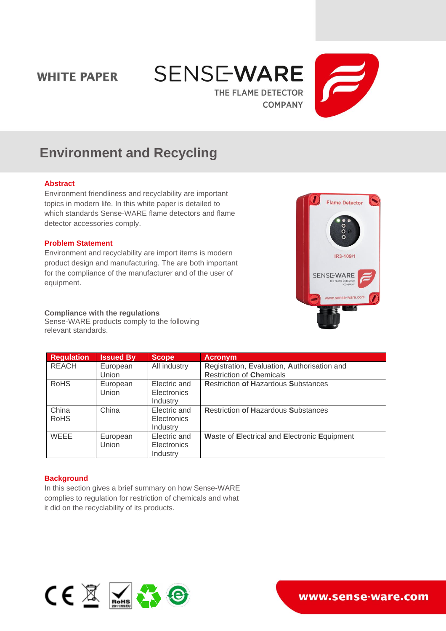## **WHITE PAPER**





# **Environment and Recycling**

#### **Abstract**

Environment friendliness and recyclability are important topics in modern life. In this white paper is detailed to which standards Sense-WARE flame detectors and flame detector accessories comply.

## **Problem Statement**

Environment and recyclability are import items is modern product design and manufacturing. The are both important for the compliance of the manufacturer and of the user of equipment.

#### **Compliance with the regulations**

Sense-WARE products comply to the following relevant standards.

| <b>Flame Detector</b>                              |
|----------------------------------------------------|
| $\frac{0}{0}$                                      |
| IR3-109/1                                          |
| <b>SENSE-WARE</b><br>THE FLAME DETECTOR<br>COMPANY |
| www.sense-ware.com                                 |
|                                                    |

| <b>Regulation</b> | <b>Issued By</b> | <b>Scope</b>       | <b>Acronym</b>                               |
|-------------------|------------------|--------------------|----------------------------------------------|
| <b>REACH</b>      | European         | All industry       | Registration, Evaluation, Authorisation and  |
|                   | Union            |                    | <b>Restriction of Chemicals</b>              |
| <b>RoHS</b>       | European         | Electric and       | <b>Restriction of Hazardous Substances</b>   |
|                   | Union            | <b>Electronics</b> |                                              |
|                   |                  | Industry           |                                              |
| China             | China            | Electric and       | <b>Restriction of Hazardous Substances</b>   |
| <b>RoHS</b>       |                  | <b>Electronics</b> |                                              |
|                   |                  | Industry           |                                              |
| <b>WEEE</b>       | European         | Electric and       | Waste of Electrical and Electronic Equipment |
|                   | Union            | <b>Electronics</b> |                                              |
|                   |                  | Industry           |                                              |

## **Background**

In this section gives a brief summary on how Sense-WARE complies to regulation for restriction of chemicals and what it did on the recyclability of its products.



www.sense-ware.com